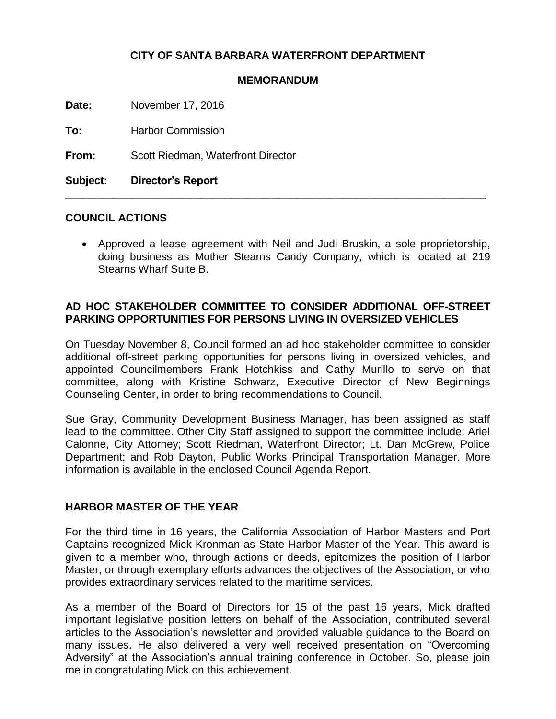## **CITY OF SANTA BARBARA WATERFRONT DEPARTMENT**

#### **MEMORANDUM**

**Date:** November 17, 2016

**To:** Harbor Commission

**From:** Scott Riedman, Waterfront Director

**Subject: Director's Report**

#### **COUNCIL ACTIONS**

 Approved a lease agreement with Neil and Judi Bruskin, a sole proprietorship, doing business as Mother Stearns Candy Company, which is located at 219 Stearns Wharf Suite B.

\_\_\_\_\_\_\_\_\_\_\_\_\_\_\_\_\_\_\_\_\_\_\_\_\_\_\_\_\_\_\_\_\_\_\_\_\_\_\_\_\_\_\_\_\_\_\_\_\_\_\_\_\_\_\_\_\_\_\_\_\_\_\_\_\_\_\_\_\_\_\_

### **AD HOC STAKEHOLDER COMMITTEE TO CONSIDER ADDITIONAL OFF-STREET PARKING OPPORTUNITIES FOR PERSONS LIVING IN OVERSIZED VEHICLES**

On Tuesday November 8, Council formed an ad hoc stakeholder committee to consider additional off-street parking opportunities for persons living in oversized vehicles, and appointed Councilmembers Frank Hotchkiss and Cathy Murillo to serve on that committee, along with Kristine Schwarz, Executive Director of New Beginnings Counseling Center, in order to bring recommendations to Council.

Sue Gray, Community Development Business Manager, has been assigned as staff lead to the committee. Other City Staff assigned to support the committee include; Ariel Calonne, City Attorney; Scott Riedman, Waterfront Director; Lt. Dan McGrew, Police Department; and Rob Dayton, Public Works Principal Transportation Manager. More information is available in the enclosed Council Agenda Report.

### **HARBOR MASTER OF THE YEAR**

For the third time in 16 years, the California Association of Harbor Masters and Port Captains recognized Mick Kronman as State Harbor Master of the Year. This award is given to a member who, through actions or deeds, epitomizes the position of Harbor Master, or through exemplary efforts advances the objectives of the Association, or who provides extraordinary services related to the maritime services.

As a member of the Board of Directors for 15 of the past 16 years, Mick drafted important legislative position letters on behalf of the Association, contributed several articles to the Association's newsletter and provided valuable guidance to the Board on many issues. He also delivered a very well received presentation on "Overcoming Adversity" at the Association's annual training conference in October. So, please join me in congratulating Mick on this achievement.